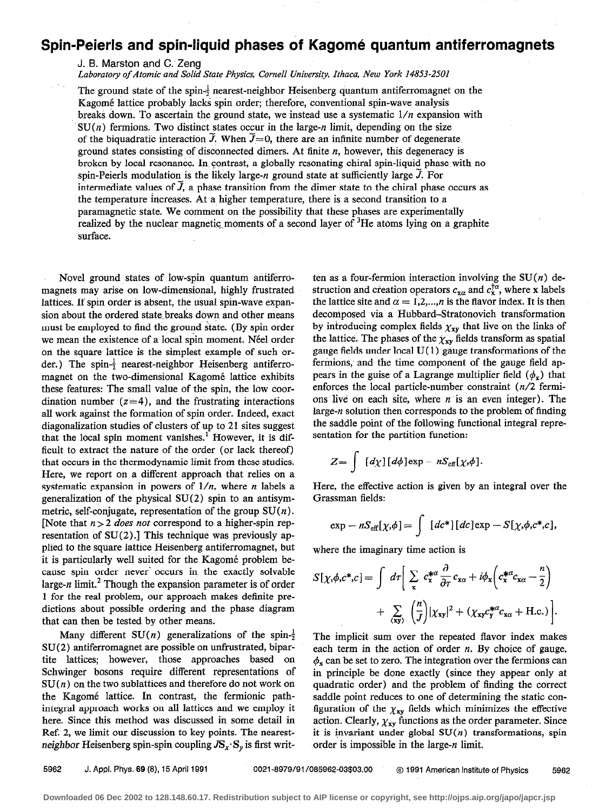## Spin-Peierls and spin-liquid phases of Kagomé quantum antiferromagnets

J. B. Marston and C. Zeng

Laboratory of Atomic and Solid State Physics, Cornell University, Ithaca, New York 14853-2501

The ground state of the spin- $\frac{1}{2}$  nearest-neighbor Heisenberg quantum antiferromagnet on the Kagomé lattice probably lacks spin order; therefore, conventional spin-wave analysis breaks down. To ascertain the ground state, we instead use a systematic  $1/n$  expansion with  $SU(n)$  fermions. Two distinct states occur in the large-n limit, depending on the size of the biquadratic interaction  $\tilde{J}$ . When  $\tilde{J}=0$ , there are an infinite number of degenerate. ground states consisting of disconnected dimers. At finite  $n$ , however, this degeneracy is broken by local resonance. In contrast, a globally resonating chiral spin-liquid phase with no spin-Peierls modulation is the likely large-n ground state at sufficiently large  $\ddot{J}$ . For intermediate values of  $\tilde{J}$ , a phase transition from the dimer state to the chiral phase occurs as the temperature increases. At a higher temperature, there is a second transition to a paramagnetic state. We comment on the possibility that these phases are experimentally realized by the nuclear magnetic moments of a second layer of  ${}^{3}$ He atoms lying on a graphite surface.

Novel ground states of low-spin quantum antiferromagnets may arise on low-dimensional, highly frustrated lattices. If spin order is absent, the usual spin-wave expansion about the ordered state-breaks down and other means must be employed to find the ground state. (By spin order we mean the existence of a local spin moment. Néel order on the square lattice is the simplest example of such order.) The spin- $\frac{1}{2}$  nearest-neighbor Heisenberg antiferromagnet on the two-dimensional Kagomé lattice exhibits these features: The small value of the spin, the low coordination number  $(z=4)$ , and the frustrating interactions all work against the formation of spin order. Indeed, exact diagonalization studies of clusters of up to 21 sites suggest that the local spin moment vanishes.<sup>1</sup> However, it is difficult to extract the nature of the order (or lack thereof) that occurs in the thermodynamic limit from these studies. Here, we report on a different approach that relies on a systematic expansion in powers of  $1/n$ , where *n* labels a generalization of the physical SU(2) spin to an antisymmetric, self-conjugate, representation of the group  $SU(n)$ . [Note that  $n > 2$  does not correspond to a higher-spin representation of SU(2).] This technique was previously applied to the square lattice Heisenberg antiferromagnet, but it is particularly well suited for the Kagomé problem because spin order never' occurs in the exactly solvable large-n limit.<sup>2</sup> Though the expansion parameter is of order 1 for the real problem, our approach makes definite predictions about possible ordering and the phase diagram that can then be tested by other means.

Many different SU(n) generalizations of the spin- $\frac{1}{2}$  The implicit sum over the repeated flavor index makes  $SU(2)$  antiferromagnet are possible on unfrustrated, bipar-each term in the action of order n. By choice of gauge, the Kagomé lattice. In contrast, the fermionic path-<br>saddle point reduces to one of determining the static conhere. Since this method was discussed in some detail in action. Clearly,  $\chi_{xy}$  functions as the order parameter. Since Ref. 2, we limit our discussion to key points. The nearest- it is invariant under global  $SU(n)$  transformations, spin neighbor Heisenberg spin-spin coupling  $JS_x \cdot S_y$  is first writ- order is impossible in the large-n limit.

ten as a four-fermion interaction involving the  $SU(n)$  destruction and creation operators  $c_{\mathbf{x}\alpha}$  and  $c_{\mathbf{x}}^{\dagger\alpha}$ , where x labels the lattice site and  $\alpha = 1,2,...,n$  is the flavor index. It is then decomposed via a Hubbard-Stratonovich transformation by introducing complex fields  $\chi_{xy}$  that live on the links of the lattice. The phases of the  $\chi_{xy}$  fields transform as spatial gauge fields under local  $U(1)$  gauge transformations of the fermions, and the time component of the gauge field appears in the guise of a Lagrange multiplier field  $(\phi_x)$  that enforces the local particle-number constraint (n/2 fermions live on each site, where  $n$  is an even integer). The large-n solution then corresponds to the problem of finding the saddle point of the following functional integral representation for the partition function:

$$
Z = \int [d\chi][d\phi] \exp - nS_{\text{eff}}[\chi,\phi].
$$

Here, the effective action is given by an integral over the Grassman fields:

$$
\exp - nS_{\text{eff}}[\chi,\phi] = \int [dc^*][dc] \exp - S[\chi,\phi,c^*,c],
$$

where the imaginary time action is

$$
S[\chi,\phi,c^*,c] = \int d\tau \left[ \sum_{x} c_x^{*\alpha} \frac{\partial}{\partial \tau} c_{x\alpha} + i \phi_x \left( c_x^{*\alpha} c_{x\alpha} - \frac{n}{2} \right) + \sum_{\langle xy \rangle} \left( \frac{n}{J} \right) |\chi_{xy}|^2 + (\chi_{xy} c_y^{*\alpha} c_{x\alpha} + \text{H.c.}) \right].
$$

tite lattices; however, those approaches based on  $\phi_x$  can be set to zero. The integration over the fermions can Schwinger bosons require different representations of in principle be done exactly (since they appear only at  $SU(n)$  on the two sublattices and therefore do not work on quadratic order) and the problem of finding the correct integral approach works on all lattices and we employ it figuration of the  $\chi_{xy}$  fields which minimizes the effective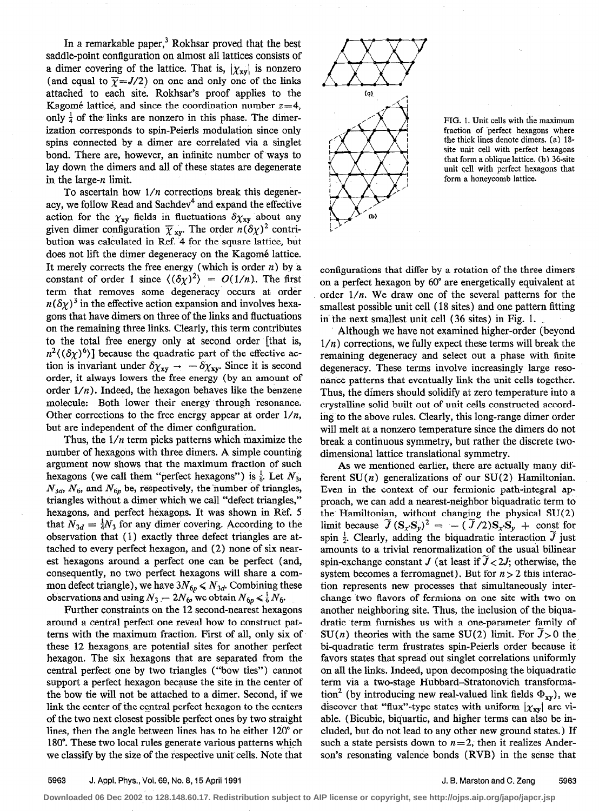In a remarkable paper, $3$  Rokhsar proved that the best saddle-point configuration on almost all lattices consists of a dimer covering of the lattice. That is,  $|\chi_{xy}|$  is nonzero (and equal to  $\overline{\gamma} = J/2$ ) on one and only one of the links attached to each site. Rokhsar's proof applies to the Kagomé lattice, and since the coordination number  $z=4$ , only  $\frac{1}{4}$  of the links are nonzero in this phase. The dimerization corresponds to spin-Peierls modulation since only spins connected by a dimer are correlated via a singlet bond. There are, however, an infinite number of ways to lay down the dimers and all of these states are degenerate in the large-n limit.

To ascertain how  $1/n$  corrections break this degeneracy, we follow Read and Sachdev<sup>4</sup> and expand the effective action for the  $\chi_{xy}$  fields in fluctuations  $\delta \chi_{xy}$  about any given dimer configuration  $\overline{\chi}_{xv}$ . The order  $n(\delta \chi)^2$  contribution was calculated in Ref. 4 for the square lattice, but does not lift the dimer degeneracy on the Kagomé lattice. It merely corrects the free energy (which is order  $n$ ) by a constant of order 1 since  $\langle (\delta \chi)^2 \rangle = O(1/n)$ . The first term that removes some degeneracy occurs at order  $n(\delta \chi)^3$  in the effective action expansion and involves hexagons that have dimers on three of the links and fluctuations on the remaining three links. Clearly, this term contributes to the total free energy only at second order [that is,  $n^2 \langle (\delta \chi)^6 \rangle$ ] because the quadratic part of the effective action is invariant under  $\delta \chi_{xy} \rightarrow -\delta \chi_{xy}$ . Since it is second order, it always lowers the free energy (by an amount of order  $1/n$ ). Indeed, the hexagon behaves like the benzene molecule: Both lower their energy through resonance. Other corrections to the free energy appear at order  $1/n$ , but are independent of the dimer configuration.

Thus, the  $1/n$  term picks patterns which maximize the number of hexagons with three dimers. A simple counting argument now shows that the maximum fraction of such hexagons (we call them "perfect hexagons") is  $\frac{1}{6}$ . Let  $N_3$ ,  $N_{3d}$ ,  $N_6$ , and  $N_{6p}$  be, respectively, the number of triangles, triangles without a dimer which we call "defect triangles," hexagons, and perfect hexagons. It was shown in Ref. 5 that  $N_{3d} = \frac{1}{4}N_3$  for any dimer covering. According to the observation that (1) exactly three defect triangles are attached to every perfect hexagon, and (2) none of six nearest hexagons around a perfect one can be perfect (and, consequently, no two perfect hexagons will share a common defect triangle), we have  $3N_{6p} \le N_{3d}$ . Combining these observations and using  $N_3 = 2N_6$ , we obtain  $N_{6p} \le \frac{1}{6}N_6$ .

Further constraints on the 12 second-nearest hexagons around a central perfect one reveal how to construct patterns with the maximum fraction. First of all, only six of these 12 hexagons. are potential sites for another perfect hexagon. The six hexagons that are separated from the central perfect one by two triangles ("bow ties") cannot support a perfect hexagon because the site in the center of the bow tie will not be attached to a dimer. Second, if we link the center of the central perfect hexagon to the centers of the two next closest possible perfect ones by two straight lines, then the angle between lines has to be either 120" or 180". These two local rules generate various patterns which \_. we classify by the size of the respective unit cells. Note that



HG. 1. Unit cells with the maximum fraction of perfect hexagons where the thick lines denote dimers. (a) 18site unit cell with perfect hexagons that form a oblique lattice. (b) 36-site unit cell with perfect hexagons that form a honeycomb lattice.

configurations that differ by a rotation of the three dimers on a perfect hexagon by 60" are energetically equivalent at order  $1/n$ . We draw one of the several patterns for the smallest possible unit cell (18 sites) and one pattern fitting in' the next smallest unit cell (36 sites) in Fig. 1.

Although we have not examined higher-order (beyond  $1/n$ ) corrections, we fully expect these terms will break the remaining degeneracy and select out a phase with finite degeneracy. These terms involve increasingly large resonance patterns that eventually link the unit cells together. Thus, the dimers should solidify at zero temperature into a crystalline solid built out of unit cells constructed according to the above rules. Clearly, this long-range dimer order will melt at a nonzero temperature since the dimers do not break a continuous symmetry, but rather the discrete twodimensional lattice translational symmetry.

As we mentioned earlier, there are actually many different  $SU(n)$  generalizations of our  $SU(2)$  Hamiltonian. Even in the context of our fermionic path-integral approach, we can add a nearest-neighbor biquadratic term to' the Hamiltonian, without changing the physical  $SU(2)$ limit because  $\widetilde{J} (\mathbf{S}_x \mathbf{S}_y)^2 = -(\widetilde{J}/2) \mathbf{S}_x \mathbf{S}_y + \text{const}$  for spin  $\frac{1}{2}$ . Clearly, adding the biquadratic interaction  $\tilde{J}$  just amounts to a trivial renormalization of the usual bilinear spin-exchange constant J (at least if  $J < 2J$ ; otherwise, the system becomes a ferromagnet). But for  $n > 2$  this interaction represents new processes that simultaneously interchange two flavors of fermions on one site with two on another neighboring site. Thus, the inclusion of the biquadratic term furnishes us with a one-parameter family of  $SU(n)$  theories with the same SU(2) limit. For  $\tilde{J} > 0$  the bi-quadratic term frustrates spin-Peierls order because it favors states that spread out singlet correlations uniformly on all the links. Indeed, upon decomposing the biquadratic term via a two-stage Hubbard-Stratonovich transformation<sup>2</sup> (by introducing new real-valued link fields  $\Phi_{xy}$ ), we discover that "flux"-type states with uniform  $|\chi_{xy}|$  are viable. (Bicubic, biquartic, and higher terms can also be included, but do not lead to any other new ground states. ) If such a state persists down to  $n=2$ , then it realizes Anderson's resonating valence bonds (RVB) in the sense that

**Downloaded 06 Dec 2002 to 128.148.60.17. Redistribution subject to AIP license or copyright, see http://ojps.aip.org/japo/japcr.jsp**